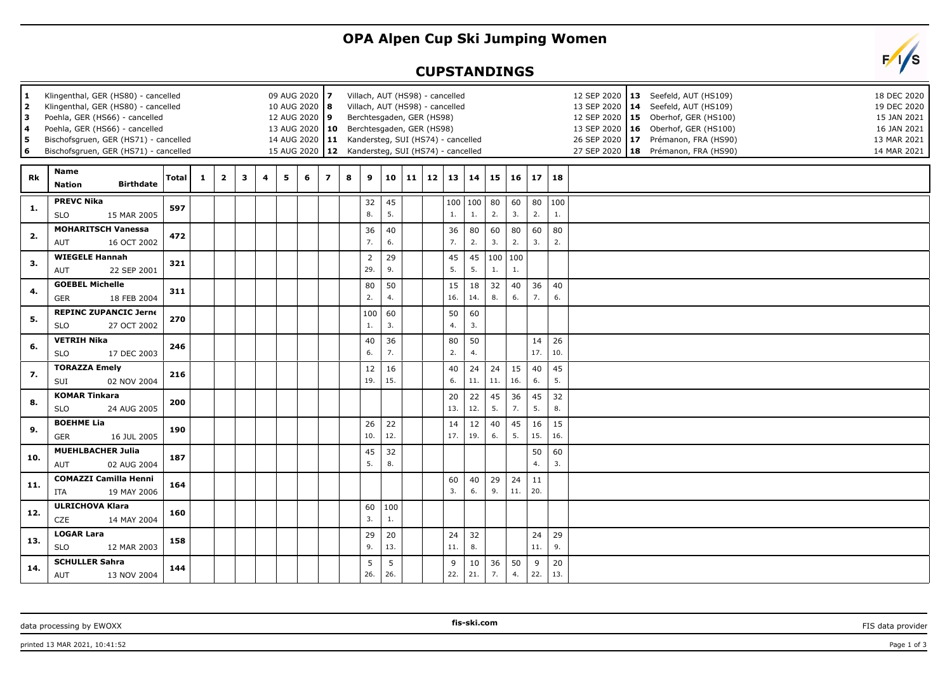## **OPA Alpen Cup Ski Jumping Women**

## **CUPSTANDINGS**

| Klingenthal, GER (HS80) - cancelled<br>09 AUG 2020 7<br>1<br>Klingenthal, GER (HS80) - cancelled<br>10 AUG 2020   8<br>$\mathbf{2}$<br>Poehla, GER (HS66) - cancelled<br>12 AUG 2020 9<br>3<br>Poehla, GER (HS66) - cancelled<br>13 AUG 2020   10<br>4<br>Bischofsgruen, GER (HS71) - cancelled<br>5<br>6<br>Bischofsgruen, GER (HS71) - cancelled |                                                           |              |              |                |   |   |   |   |                |   | Villach, AUT (HS98) - cancelled<br>12 SEP 2020   13 Seefeld, AUT (HS109)<br>Villach, AUT (HS98) - cancelled<br>13 SEP 2020   14 Seefeld, AUT (HS109)<br>Berchtesgaden, GER (HS98)<br>12 SEP 2020   15 Oberhof, GER (HS100)<br>Berchtesgaden, GER (HS98)<br>13 SEP 2020   16 Oberhof, GER (HS100)<br>14 AUG 2020 11 Kandersteg, SUI (HS74) - cancelled<br>26 SEP 2020   17 Prémanon, FRA (HS90)<br>15 AUG 2020   12 Kandersteg, SUI (HS74) - cancelled<br>27 SEP 2020   18 Prémanon, FRA (HS90) |             |    |    |           |                           |           |               |           |           |  |  |  | 18 DEC 2020<br>19 DEC 2020<br>15 JAN 2021<br>16 JAN 2021<br>13 MAR 2021<br>14 MAR 2021 |  |
|----------------------------------------------------------------------------------------------------------------------------------------------------------------------------------------------------------------------------------------------------------------------------------------------------------------------------------------------------|-----------------------------------------------------------|--------------|--------------|----------------|---|---|---|---|----------------|---|------------------------------------------------------------------------------------------------------------------------------------------------------------------------------------------------------------------------------------------------------------------------------------------------------------------------------------------------------------------------------------------------------------------------------------------------------------------------------------------------|-------------|----|----|-----------|---------------------------|-----------|---------------|-----------|-----------|--|--|--|----------------------------------------------------------------------------------------|--|
| Rk                                                                                                                                                                                                                                                                                                                                                 | Name<br><b>Birthdate</b><br><b>Nation</b>                 | <b>Total</b> | $\mathbf{1}$ | $\overline{2}$ | 3 | 4 | 5 | 6 | $\overline{ }$ | 8 | 9                                                                                                                                                                                                                                                                                                                                                                                                                                                                                              | 10          | 11 | 12 | 13        | 14                        | 15        | 16            | 17        | 18        |  |  |  |                                                                                        |  |
| 1.                                                                                                                                                                                                                                                                                                                                                 | <b>PREVC Nika</b><br><b>SLO</b><br>15 MAR 2005            | 597          |              |                |   |   |   |   |                |   | 32<br>8.                                                                                                                                                                                                                                                                                                                                                                                                                                                                                       | 45<br>5.    |    |    | 1.        | 100 100<br>$\mathbf{1}$ . | 80<br>2.  | 60<br>3.      | 80<br>2.  | 100<br>1. |  |  |  |                                                                                        |  |
| 2.                                                                                                                                                                                                                                                                                                                                                 | <b>MOHARITSCH Vanessa</b><br>AUT<br>16 OCT 2002           | 472          |              |                |   |   |   |   |                |   | 36<br>7.                                                                                                                                                                                                                                                                                                                                                                                                                                                                                       | 40<br>6.    |    |    | 36<br>7.  | 80<br>2.                  | 60<br>3.  | 80<br>2.      | 60<br>3.  | 80<br>2.  |  |  |  |                                                                                        |  |
| 3.                                                                                                                                                                                                                                                                                                                                                 | <b>WIEGELE Hannah</b><br><b>AUT</b><br>22 SEP 2001        | 321          |              |                |   |   |   |   |                |   | $\overline{2}$<br>29.                                                                                                                                                                                                                                                                                                                                                                                                                                                                          | 29<br>9.    |    |    | 45<br>5.  | 45<br>5.                  | 1.        | 100 100<br>1. |           |           |  |  |  |                                                                                        |  |
| 4.                                                                                                                                                                                                                                                                                                                                                 | <b>GOEBEL Michelle</b><br><b>GER</b><br>18 FEB 2004       | 311          |              |                |   |   |   |   |                |   | 80<br>2.                                                                                                                                                                                                                                                                                                                                                                                                                                                                                       | 50<br>4.    |    |    | 15<br>16. | 18<br>14.                 | 32<br>8.  | 40<br>6.      | 36<br>7.  | 40<br>6.  |  |  |  |                                                                                        |  |
| 5.                                                                                                                                                                                                                                                                                                                                                 | <b>REPINC ZUPANCIC Jerne</b><br><b>SLO</b><br>27 OCT 2002 | 270          |              |                |   |   |   |   |                |   | 100<br>1.                                                                                                                                                                                                                                                                                                                                                                                                                                                                                      | 60<br>3.    |    |    | 50<br>4.  | 60<br>3.                  |           |               |           |           |  |  |  |                                                                                        |  |
| 6.                                                                                                                                                                                                                                                                                                                                                 | <b>VETRIH Nika</b><br><b>SLO</b><br>17 DEC 2003           | 246          |              |                |   |   |   |   |                |   | 40<br>6.                                                                                                                                                                                                                                                                                                                                                                                                                                                                                       | 36<br>7.    |    |    | 80<br>2.  | 50<br>4.                  |           |               | 14<br>17. | 26<br>10. |  |  |  |                                                                                        |  |
| 7.                                                                                                                                                                                                                                                                                                                                                 | <b>TORAZZA Emely</b><br>SUI<br>02 NOV 2004                | 216          |              |                |   |   |   |   |                |   | 12<br>19.                                                                                                                                                                                                                                                                                                                                                                                                                                                                                      | 16<br>15.   |    |    | 40<br>6.  | 24<br>11.                 | 24<br>11. | 15<br>16.     | 40<br>6.  | 45<br>5.  |  |  |  |                                                                                        |  |
| 8.                                                                                                                                                                                                                                                                                                                                                 | <b>KOMAR Tinkara</b><br><b>SLO</b><br>24 AUG 2005         | 200          |              |                |   |   |   |   |                |   |                                                                                                                                                                                                                                                                                                                                                                                                                                                                                                |             |    |    | 20<br>13. | 22<br>12.                 | 45<br>5.  | 36<br>7.      | 45<br>5.  | 32<br>8.  |  |  |  |                                                                                        |  |
| 9.                                                                                                                                                                                                                                                                                                                                                 | <b>BOEHME Lia</b><br><b>GER</b><br>16 JUL 2005            | 190          |              |                |   |   |   |   |                |   | 26<br>10.                                                                                                                                                                                                                                                                                                                                                                                                                                                                                      | $22$<br>12. |    |    | 14<br>17. | 12<br>19.                 | 40<br>6.  | 45<br>5.      | 16<br>15. | 15<br>16. |  |  |  |                                                                                        |  |
| 10.                                                                                                                                                                                                                                                                                                                                                | <b>MUEHLBACHER Julia</b><br><b>AUT</b><br>02 AUG 2004     | 187          |              |                |   |   |   |   |                |   | 45<br>5.                                                                                                                                                                                                                                                                                                                                                                                                                                                                                       | 32<br>8.    |    |    |           |                           |           |               | 50<br>4.  | 60<br>3.  |  |  |  |                                                                                        |  |
| 11.                                                                                                                                                                                                                                                                                                                                                | <b>COMAZZI Camilla Henni</b><br><b>ITA</b><br>19 MAY 2006 | 164          |              |                |   |   |   |   |                |   |                                                                                                                                                                                                                                                                                                                                                                                                                                                                                                |             |    |    | 60<br>3.  | 40<br>6.                  | 29<br>9.  | 24<br>11.     | 11<br>20. |           |  |  |  |                                                                                        |  |
| 12.                                                                                                                                                                                                                                                                                                                                                | <b>ULRICHOVA Klara</b><br>CZE<br>14 MAY 2004              | 160          |              |                |   |   |   |   |                |   | 60<br>3.                                                                                                                                                                                                                                                                                                                                                                                                                                                                                       | 100<br>1.   |    |    |           |                           |           |               |           |           |  |  |  |                                                                                        |  |
| 13.                                                                                                                                                                                                                                                                                                                                                | <b>LOGAR Lara</b><br><b>SLO</b><br>12 MAR 2003            | 158          |              |                |   |   |   |   |                |   | 29<br>9.                                                                                                                                                                                                                                                                                                                                                                                                                                                                                       | 20<br>13.   |    |    | 24<br>11. | 32<br>8.                  |           |               | 24<br>11. | 29<br>9.  |  |  |  |                                                                                        |  |
| 14.                                                                                                                                                                                                                                                                                                                                                | <b>SCHULLER Sahra</b><br>13 NOV 2004<br><b>AUT</b>        | 144          |              |                |   |   |   |   |                |   | 5<br>26.                                                                                                                                                                                                                                                                                                                                                                                                                                                                                       | 5<br>26.    |    |    | 9<br>22.  | 10<br>21.                 | 36<br>7.  | 50<br>4.      | 9<br>22.  | 20<br>13. |  |  |  |                                                                                        |  |

data processing by EWOXX **EXECUTES AND A CONSUMING THE-SKI.COM FIS** data provider **FIS** data provider

printed 13 MAR 2021, 10:41:52 Page 1 of 3

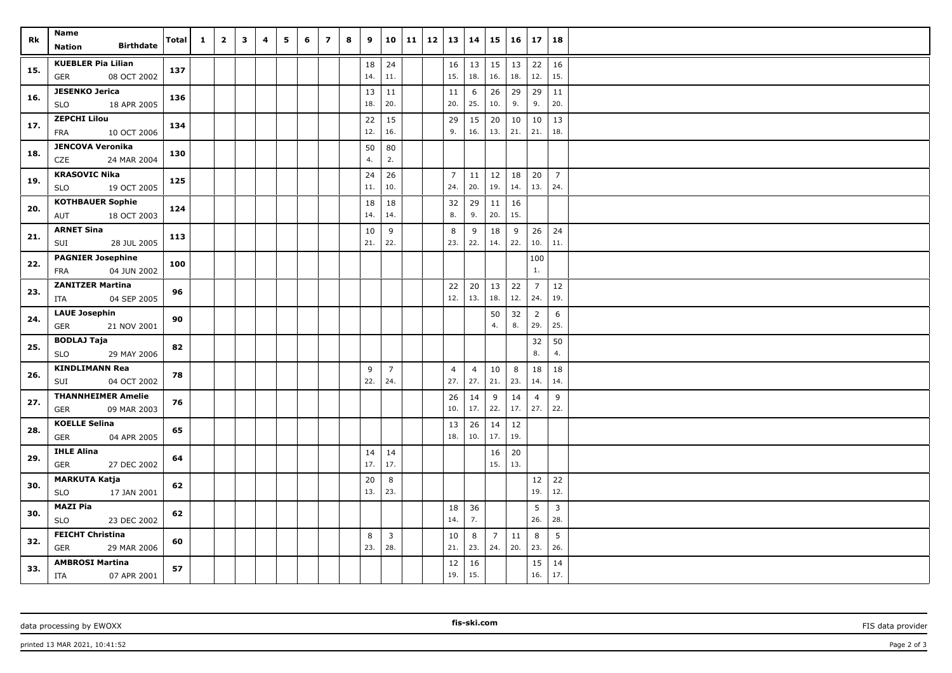| Rk  | Name                                             | <b>Total</b> | $\mathbf{1}$ | $\overline{\mathbf{2}}$ | $\mathbf{3}$ | 4 | 5 | 6 | $\overline{ }$ | 8 | 9         |                       | $10 \mid 11 \mid 12$ | 13                    | 14                    | 15             | 16           |                | $17 \mid 18$          |  |  |    |    |    |    |  |  |
|-----|--------------------------------------------------|--------------|--------------|-------------------------|--------------|---|---|---|----------------|---|-----------|-----------------------|----------------------|-----------------------|-----------------------|----------------|--------------|----------------|-----------------------|--|--|----|----|----|----|--|--|
|     | <b>Birthdate</b><br>Nation                       |              |              |                         |              |   |   |   |                |   |           |                       |                      |                       |                       |                |              |                |                       |  |  |    |    |    |    |  |  |
| 15. | <b>KUEBLER Pia Lilian</b>                        | 137          |              |                         |              |   |   |   |                |   | 18        | 24                    |                      | 16                    | 13                    |                | $15 \mid 13$ | 22             | 16                    |  |  |    |    |    |    |  |  |
|     | 08 OCT 2002<br>GER                               |              |              |                         |              |   |   |   |                |   | 14.       | 11.                   |                      | 15.                   | 18.                   | 16.            | 18.          | 12.            | 15.                   |  |  |    |    |    |    |  |  |
| 16. | <b>JESENKO Jerica</b>                            | 136          |              |                         |              |   |   |   |                |   | 13<br>18. | 11<br>20.             |                      | 11                    | 6<br>25.              | 26<br>10.      | 29<br>9.     | 29<br>9.       | 11<br>20.             |  |  |    |    |    |    |  |  |
|     | <b>SLO</b><br>18 APR 2005<br><b>ZEPCHI Lilou</b> |              |              |                         |              |   |   |   |                |   |           | 15                    |                      | 20.                   |                       |                |              |                |                       |  |  |    |    |    |    |  |  |
| 17. | 10 OCT 2006<br>FRA                               | 134          |              |                         |              |   |   |   |                |   | 22<br>12. | 16.                   |                      | 29<br>9.              | 15<br>16.             | 20<br>13.      | 10<br>21.    | 10<br>21.      | 13<br>18.             |  |  |    |    |    |    |  |  |
|     | <b>JENCOVA Veronika</b>                          |              |              |                         |              |   |   |   |                |   | 50        | 80                    |                      |                       |                       |                |              |                |                       |  |  |    |    |    |    |  |  |
| 18. | CZE<br>24 MAR 2004                               | 130          |              |                         |              |   |   |   |                |   | 4.        | 2.                    |                      |                       |                       |                |              |                |                       |  |  |    |    |    |    |  |  |
| 19. | <b>KRASOVIC Nika</b>                             | 125          |              |                         |              |   |   |   |                |   | 24        | 26                    |                      | $\overline{7}$        | 11                    | 12             | 18           | 20             | $\overline{7}$        |  |  |    |    |    |    |  |  |
|     | 19 OCT 2005<br><b>SLO</b>                        |              |              |                         |              |   |   |   |                |   | 11.       | 10.                   |                      | 24.                   | 20.                   | 19.            | 14.          | 13.            | 24.                   |  |  |    |    |    |    |  |  |
| 20. | <b>KOTHBAUER Sophie</b>                          | 124          |              |                         |              |   |   |   |                |   | 18        | 18                    |                      | 32                    | 29                    | 11             | $\vert$ 16   |                |                       |  |  |    |    |    |    |  |  |
|     | 18 OCT 2003<br>AUT                               |              |              |                         |              |   |   |   |                |   | 14.       | 14.                   |                      | 8.                    | 9.                    | 20.            | 15.          |                |                       |  |  |    |    |    |    |  |  |
| 21. | <b>ARNET Sina</b>                                | 113          |              |                         |              |   |   |   |                |   | 10        | 9                     |                      | 8                     | 9                     | 18             | 9            | 26             | 24                    |  |  |    |    |    |    |  |  |
|     | 28 JUL 2005<br>SUI                               |              |              |                         |              |   |   |   |                |   | 21.       | 22.                   |                      | 23.                   | 22.                   | 14.            | 22.          | 10.            | 11.                   |  |  |    |    |    |    |  |  |
| 22. | <b>PAGNIER Josephine</b><br>04 JUN 2002<br>FRA   | 100          |              |                         |              |   |   |   |                |   |           |                       |                      |                       |                       |                |              | 100<br>1.      |                       |  |  |    |    |    |    |  |  |
|     | <b>ZANITZER Martina</b>                          |              |              |                         |              |   |   |   |                |   |           |                       |                      | 22                    | $20\,$                | 13             | 22           | $\overline{7}$ | $12$                  |  |  |    |    |    |    |  |  |
| 23. | 04 SEP 2005<br>ITA                               | 96           |              |                         |              |   |   |   |                |   |           |                       |                      | 12.                   | 13.                   | 18.            | 12.          | 24.            | 19.                   |  |  |    |    |    |    |  |  |
| 24. | <b>LAUE Josephin</b><br>90                       |              |              |                         |              |   |   |   |                |   |           |                       |                      |                       |                       | 50             | 32           | $\overline{2}$ | 6                     |  |  |    |    |    |    |  |  |
|     | GER<br>21 NOV 2001                               |              |              |                         |              |   |   |   |                |   |           |                       |                      |                       |                       | 4.             | 8.           | 29.            | 25.                   |  |  |    |    |    |    |  |  |
| 25. | <b>BODLAJ Taja</b>                               | 82           |              |                         |              |   |   |   |                |   |           |                       |                      |                       |                       |                |              | 32             | 50                    |  |  |    |    |    |    |  |  |
|     | <b>SLO</b><br>29 MAY 2006                        |              |              |                         |              |   |   |   |                |   |           |                       |                      |                       |                       |                |              | 8.             | 4.                    |  |  |    |    |    |    |  |  |
| 26. | <b>KINDLIMANN Rea</b><br>SUI<br>04 OCT 2002      | 78           |              |                         |              |   |   |   |                |   | 9<br>22.  | $\overline{7}$<br>24. |                      | $\overline{4}$<br>27. | $\overline{4}$<br>27. | 10<br>21.      | 8<br> 23.    | 18<br>14.      | 18<br>14.             |  |  |    |    |    |    |  |  |
|     | <b>THANNHEIMER Amelie</b>                        |              |              |                         |              |   |   |   |                |   |           |                       |                      |                       |                       |                |              | $\overline{4}$ | 9                     |  |  |    |    |    |    |  |  |
| 27. | 09 MAR 2003<br><b>GER</b>                        | 76           |              |                         |              |   |   |   |                |   |           |                       |                      | 26<br>10.             | 14<br>17.             | 9<br>22.       | 14<br>17.    | 27.            | 22.                   |  |  |    |    |    |    |  |  |
|     | <b>KOELLE Selina</b>                             |              |              |                         |              |   |   |   |                |   |           |                       |                      |                       |                       |                |              |                |                       |  |  | 13 | 26 | 14 | 12 |  |  |
| 28. | 04 APR 2005<br>GER                               | 65           |              |                         |              |   |   |   |                |   |           |                       |                      | 18.                   | 10.                   | 17.            | 19.          |                |                       |  |  |    |    |    |    |  |  |
| 29. | <b>IHLE Alina</b>                                | 64           |              |                         |              |   |   |   |                |   | 14        | 14                    |                      |                       |                       | 16             | 20           |                |                       |  |  |    |    |    |    |  |  |
|     | GER<br>27 DEC 2002                               |              |              |                         |              |   |   |   |                |   | 17.       | 17.                   |                      |                       |                       | 15.            | 13.          |                |                       |  |  |    |    |    |    |  |  |
| 30. | <b>MARKUTA Katja</b>                             | 62           |              |                         |              |   |   |   |                |   | 20        | 8                     |                      |                       |                       |                |              | 12             | 22                    |  |  |    |    |    |    |  |  |
|     | 17 JAN 2001<br><b>SLO</b>                        |              |              |                         |              |   |   |   |                |   | 13.       | 23.                   |                      |                       |                       |                |              | 19.            | 12.                   |  |  |    |    |    |    |  |  |
| 30. | <b>MAZI Pia</b><br><b>SLO</b><br>23 DEC 2002     | 62           |              |                         |              |   |   |   |                |   |           |                       |                      | 18<br>14.             | 36<br>7.              |                |              | 5<br>26.       | $\overline{3}$<br>28. |  |  |    |    |    |    |  |  |
|     | <b>FEICHT Christina</b>                          |              |              |                         |              |   |   |   |                |   | 8         | $\overline{3}$        |                      | 10                    | 8                     | $\overline{7}$ | $\vert$ 11   | 8              | 5                     |  |  |    |    |    |    |  |  |
| 32. | <b>GER</b><br>29 MAR 2006                        | 60           |              |                         |              |   |   |   |                |   | 23.       | 28.                   |                      | 21.                   | 23.                   | 24.            | 20.          | 23.            | 26.                   |  |  |    |    |    |    |  |  |
|     | <b>AMBROSI Martina</b>                           |              |              |                         |              |   |   |   |                |   |           |                       |                      | 12                    | 16                    |                |              | 15             | 14                    |  |  |    |    |    |    |  |  |
| 33. | ITA<br>07 APR 2001                               | 57           |              |                         |              |   |   |   |                |   |           |                       |                      | 19.                   | 15.                   |                |              | 16.            | 17.                   |  |  |    |    |    |    |  |  |

printed 13 MAR 2021, 10:41:52 Page 2 of 3